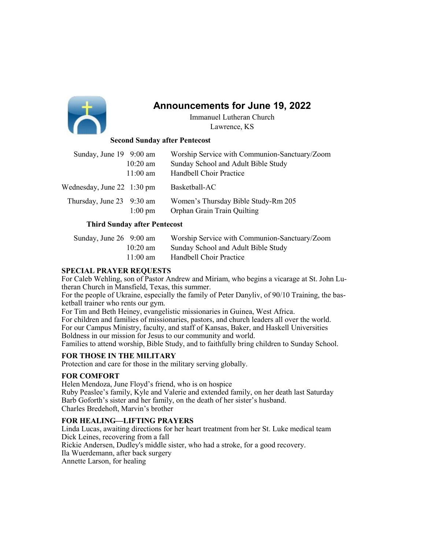

# Announcements for June 19, 2022

Immanuel Lutheran Church Lawrence, KS

# Second Sunday after Pentecost

| Sunday, June 19 9:00 am                    |                    | Worship Service with Communion-Sanctuary/Zoom                      |
|--------------------------------------------|--------------------|--------------------------------------------------------------------|
|                                            | $10:20$ am         | Sunday School and Adult Bible Study                                |
|                                            | $11:00 \text{ am}$ | Handbell Choir Practice                                            |
| Wednesday, June $22 \quad 1:30 \text{ pm}$ |                    | Basketball-AC                                                      |
| Thursday, June 23 9:30 am                  | $1:00 \text{ pm}$  | Women's Thursday Bible Study-Rm 205<br>Orphan Grain Train Quilting |

# Third Sunday after Pentecost

| Sunday, June 26 9:00 am |                    | Worship Service with Communion-Sanctuary/Zoom |
|-------------------------|--------------------|-----------------------------------------------|
|                         | $10:20 \text{ am}$ | Sunday School and Adult Bible Study           |
|                         | $11:00 \text{ am}$ | Handbell Choir Practice                       |

#### SPECIAL PRAYER REQUESTS

For Caleb Wehling, son of Pastor Andrew and Miriam, who begins a vicarage at St. John Lutheran Church in Mansfield, Texas, this summer.

For the people of Ukraine, especially the family of Peter Danyliv, of 90/10 Training, the basketball trainer who rents our gym.

For Tim and Beth Heiney, evangelistic missionaries in Guinea, West Africa.

For children and families of missionaries, pastors, and church leaders all over the world. For our Campus Ministry, faculty, and staff of Kansas, Baker, and Haskell Universities Boldness in our mission for Jesus to our community and world.

Families to attend worship, Bible Study, and to faithfully bring children to Sunday School.

# FOR THOSE IN THE MILITARY

Protection and care for those in the military serving globally.

# FOR COMFORT

Helen Mendoza, June Floyd's friend, who is on hospice

Ruby Peaslee's family, Kyle and Valerie and extended family, on her death last Saturday Barb Goforth's sister and her family, on the death of her sister's husband. Charles Bredehoft, Marvin's brother

# FOR HEALING—LIFTING PRAYERS

Linda Lucas, awaiting directions for her heart treatment from her St. Luke medical team Dick Leines, recovering from a fall Rickie Andersen, Dudley's middle sister, who had a stroke, for a good recovery. Ila Wuerdemann, after back surgery Annette Larson, for healing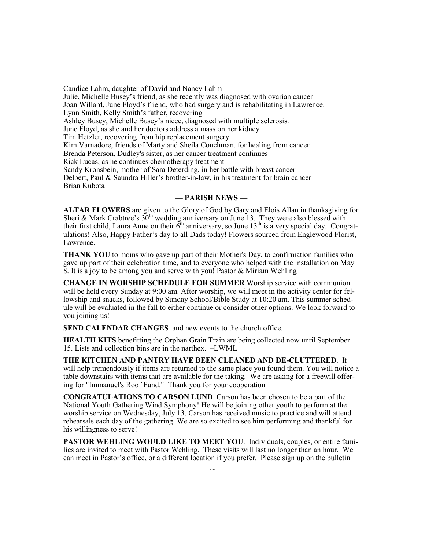Candice Lahm, daughter of David and Nancy Lahm Julie, Michelle Busey's friend, as she recently was diagnosed with ovarian cancer Joan Willard, June Floyd's friend, who had surgery and is rehabilitating in Lawrence. Lynn Smith, Kelly Smith's father, recovering Ashley Busey, Michelle Busey's niece, diagnosed with multiple sclerosis. June Floyd, as she and her doctors address a mass on her kidney. Tim Hetzler, recovering from hip replacement surgery Kim Varnadore, friends of Marty and Sheila Couchman, for healing from cancer Brenda Peterson, Dudley's sister, as her cancer treatment continues Rick Lucas, as he continues chemotherapy treatment Sandy Kronsbein, mother of Sara Deterding, in her battle with breast cancer Delbert, Paul & Saundra Hiller's brother-in-law, in his treatment for brain cancer Brian Kubota

#### — PARISH NEWS —

ALTAR FLOWERS are given to the Glory of God by Gary and Elois Allan in thanksgiving for Sheri & Mark Crabtree's  $30<sup>th</sup>$  wedding anniversary on June 13. They were also blessed with their first child, Laura Anne on their  $\tilde{6}^{th}$  anniversary, so June 13<sup>th</sup> is a very special day. Congratulations! Also, Happy Father's day to all Dads today! Flowers sourced from Englewood Florist, Lawrence.

THANK YOU to moms who gave up part of their Mother's Day, to confirmation families who gave up part of their celebration time, and to everyone who helped with the installation on May 8. It is a joy to be among you and serve with you! Pastor & Miriam Wehling

CHANGE IN WORSHIP SCHEDULE FOR SUMMER Worship service with communion will be held every Sunday at 9:00 am. After worship, we will meet in the activity center for fellowship and snacks, followed by Sunday School/Bible Study at 10:20 am. This summer schedule will be evaluated in the fall to either continue or consider other options. We look forward to you joining us!

SEND CALENDAR CHANGES and new events to the church office.

HEALTH KITS benefitting the Orphan Grain Train are being collected now until September 15. Lists and collection bins are in the narthex. –LWML

THE KITCHEN AND PANTRY HAVE BEEN CLEANED AND DE-CLUTTERED. It will help tremendously if items are returned to the same place you found them. You will notice a table downstairs with items that are available for the taking. We are asking for a freewill offering for "Immanuel's Roof Fund." Thank you for your cooperation

CONGRATULATIONS TO CARSON LUND Carson has been chosen to be a part of the National Youth Gathering Wind Symphony! He will be joining other youth to perform at the worship service on Wednesday, July 13. Carson has received music to practice and will attend rehearsals each day of the gathering. We are so excited to see him performing and thankful for his willingness to serve!

PASTOR WEHLING WOULD LIKE TO MEET YOU. Individuals, couples, or entire families are invited to meet with Pastor Wehling. These visits will last no longer than an hour. We can meet in Pastor's office, or a different location if you prefer. Please sign up on the bulletin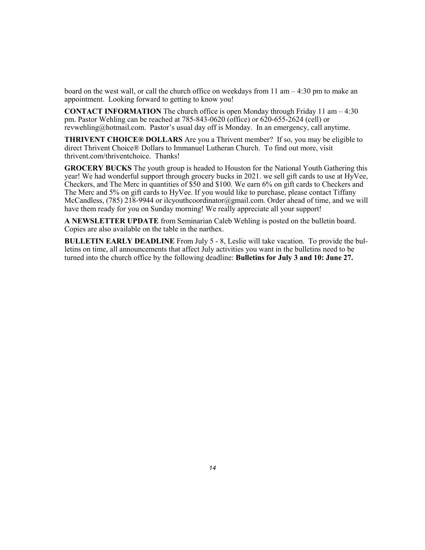board on the west wall, or call the church office on weekdays from 11 am – 4:30 pm to make an appointment. Looking forward to getting to know you!

**CONTACT INFORMATION** The church office is open Monday through Friday 11 am  $-4:30$ pm. Pastor Wehling can be reached at 785-843-0620 (office) or 620-655-2624 (cell) or revwehling@hotmail.com. Pastor's usual day off is Monday. In an emergency, call anytime.

THRIVENT CHOICE® DOLLARS Are you a Thrivent member? If so, you may be eligible to direct Thrivent Choice® Dollars to Immanuel Lutheran Church. To find out more, visit thrivent.com/thriventchoice. Thanks!

GROCERY BUCKS The youth group is headed to Houston for the National Youth Gathering this year! We had wonderful support through grocery bucks in 2021. we sell gift cards to use at HyVee, Checkers, and The Merc in quantities of \$50 and \$100. We earn 6% on gift cards to Checkers and The Merc and 5% on gift cards to HyVee. If you would like to purchase, please contact Tiffany McCandless, (785) 218-9944 or ilcyouthcoordinator@gmail.com. Order ahead of time, and we will have them ready for you on Sunday morning! We really appreciate all your support!

A NEWSLETTER UPDATE from Seminarian Caleb Wehling is posted on the bulletin board. Copies are also available on the table in the narthex.

BULLETIN EARLY DEADLINE From July 5 - 8, Leslie will take vacation. To provide the bulletins on time, all announcements that affect July activities you want in the bulletins need to be turned into the church office by the following deadline: Bulletins for July 3 and 10: June 27.